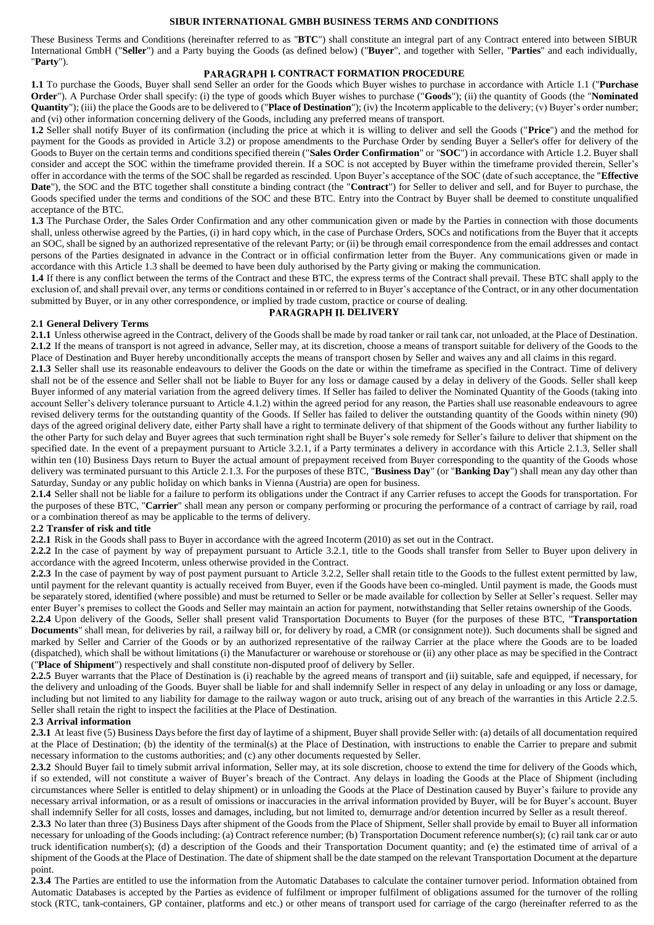## **SIBUR INTERNATIONAL GMBH BUSINESS TERMS AND CONDITIONS**

These Business Terms and Conditions (hereinafter referred to as "**BTC**") shall constitute an integral part of any Contract entered into between SIBUR International GmbH ("**Seller**") and a Party buying the Goods (as defined below) ("**Buyer**", and together with Seller, "**Parties**" and each individually, "**Party**").

### **PARAGRAPH I. CONTRACT FORMATION PROCEDURE**

**1.1** To purchase the Goods, Buyer shall send Seller an order for the Goods which Buyer wishes to purchase in accordance with Article 1.1 ("**Purchase Order**"). A Purchase Order shall specify: (i) the type of goods which Buyer wishes to purchase ("**Goods**"); (ii) the quantity of Goods (the "**Nominated Quantity**"); (iii) the place the Goods are to be delivered to ("**Place of Destination**"); (iv) the Incoterm applicable to the delivery; (v) Buyer's order number; and (vi) other information concerning delivery of the Goods, including any preferred means of transport.

**1.2** Seller shall notify Buyer of its confirmation (including the price at which it is willing to deliver and sell the Goods ("**Price**") and the method for payment for the Goods as provided in Article [3.2\)](#page-2-0) or propose amendments to the Purchase Order by sending Buyer a Seller's offer for delivery of the Goods to Buyer on the certain terms and conditions specified therein ("**Sales Order Confirmation**" or "**SOC**") in accordance with Article 1.2. Buyer shall consider and accept the SOC within the timeframe provided therein. If a SOC is not accepted by Buyer within the timeframe provided therein, Seller's offer in accordance with the terms of the SOC shall be regarded as rescinded. Upon Buyer's acceptance of the SOC (date of such acceptance, the "**Effective Date**"), the SOC and the BTC together shall constitute a binding contract (the "**Contract**") for Seller to deliver and sell, and for Buyer to purchase, the Goods specified under the terms and conditions of the SOC and these BTC. Entry into the Contract by Buyer shall be deemed to constitute unqualified acceptance of the BTC.

**1.3** The Purchase Order, the Sales Order Confirmation and any other communication given or made by the Parties in connection with those documents shall, unless otherwise agreed by the Parties, (i) in hard copy which, in the case of Purchase Orders, SOCs and notifications from the Buyer that it accepts an SOC, shall be signed by an authorized representative of the relevant Party; or (ii) be through email correspondence from the email addresses and contact persons of the Parties designated in advance in the Contract or in official confirmation letter from the Buyer. Any communications given or made in accordance with this Article 1.3 shall be deemed to have been duly authorised by the Party giving or making the communication.

**1.4** If there is any conflict between the terms of the Contract and these BTC, the express terms of the Contract shall prevail. These BTC shall apply to the exclusion of, and shall prevail over, any terms or conditions contained in or referred to in Buyer's acceptance of the Contract, or in any other documentation submitted by Buyer, or in any other correspondence, or implied by trade custom, practice or course of dealing.

## **PARAGRAPH II. DELIVERY**

#### **2.1 General Delivery Terms**

**2.1.1** Unless otherwise agreed in the Contract, delivery of the Goods shall be made by road tanker or rail tank car, not unloaded, at the Place of Destination. **2.1.2** If the means of transport is not agreed in advance, Seller may, at its discretion, choose a means of transport suitable for delivery of the Goods to the Place of Destination and Buyer hereby unconditionally accepts the means of transport chosen by Seller and waives any and all claims in this regard.

<span id="page-0-0"></span>**2.1.3** Seller shall use its reasonable endeavours to deliver the Goods on the date or within the timeframe as specified in the Contract. Time of delivery shall not be of the essence and Seller shall not be liable to Buyer for any loss or damage caused by a delay in delivery of the Goods. Seller shall keep Buyer informed of any material variation from the agreed delivery times. If Seller has failed to deliver the Nominated Quantity of the Goods (taking into account Seller's delivery tolerance pursuant to Article [4.1.2\)](#page-2-1) within the agreed period for any reason, the Parties shall use reasonable endeavours to agree revised delivery terms for the outstanding quantity of the Goods. If Seller has failed to deliver the outstanding quantity of the Goods within ninety (90) days of the agreed original delivery date, either Party shall have a right to terminate delivery of that shipment of the Goods without any further liability to the other Party for such delay and Buyer agrees that such termination right shall be Buyer's sole remedy for Seller's failure to deliver that shipment on the specified date. In the event of a prepayment pursuant to Article [3.2.1,](#page-2-2) if a Party terminates a delivery in accordance with this Article [2.1.3,](#page-0-0) Seller shall within ten (10) Business Days return to Buyer the actual amount of prepayment received from Buyer corresponding to the quantity of the Goods whose delivery was terminated pursuant to this Articl[e 2.1.3.](#page-0-0) For the purposes of these BTC, "**Business Day**" (or "**Banking Day**") shall mean any day other than Saturday, Sunday or any public holiday on which banks in Vienna (Austria) are open for business.

**2.1.4** Seller shall not be liable for a failure to perform its obligations under the Contract if any Carrier refuses to accept the Goods for transportation. For the purposes of these BTC, "**Carrier**" shall mean any person or company performing or procuring the performance of a contract of carriage by rail, road or a combination thereof as may be applicable to the terms of delivery.

### **2.2 Transfer of risk and title**

**2.2.1** Risk in the Goods shall pass to Buyer in accordance with the agreed Incoterm (2010) as set out in the Contract.

**2.2.2** In the case of payment by way of prepayment pursuant to Article [3.2.1,](#page-2-2) title to the Goods shall transfer from Seller to Buyer upon delivery in accordance with the agreed Incoterm, unless otherwise provided in the Contract.

**2.2.3** In the case of payment by way of post payment pursuant to Article [3.2.2,](#page-2-3) Seller shall retain title to the Goods to the fullest extent permitted by law, until payment for the relevant quantity is actually received from Buyer, even if the Goods have been co-mingled. Until payment is made, the Goods must be separately stored, identified (where possible) and must be returned to Seller or be made available for collection by Seller at Seller's request. Seller may enter Buyer's premises to collect the Goods and Seller may maintain an action for payment, notwithstanding that Seller retains ownership of the Goods.

**2.2.4** Upon delivery of the Goods, Seller shall present valid Transportation Documents to Buyer (for the purposes of these BTC, "**Transportation Documents**" shall mean, for deliveries by rail, a railway bill or, for delivery by road, a CMR (or consignment note)). Such documents shall be signed and marked by Seller and Carrier of the Goods or by an authorized representative of the railway Carrier at the place where the Goods are to be loaded (dispatched), which shall be without limitations (i) the Manufacturer or warehouse or storehouse or (ii) any other place as may be specified in the Contract ("**Place of Shipment**") respectively and shall constitute non-disputed proof of delivery by Seller.

<span id="page-0-1"></span>**2.2.5** Buyer warrants that the Place of Destination is (i) reachable by the agreed means of transport and (ii) suitable, safe and equipped, if necessary, for the delivery and unloading of the Goods. Buyer shall be liable for and shall indemnify Seller in respect of any delay in unloading or any loss or damage, including but not limited to any liability for damage to the railway wagon or auto truck, arising out of any breach of the warranties in this Article [2.2.5.](#page-0-1) Seller shall retain the right to inspect the facilities at the Place of Destination.

#### **2.3 Arrival information**

**2.3.1** At least five (5) Business Days before the first day of laytime of a shipment, Buyer shall provide Seller with: (a) details of all documentation required at the Place of Destination; (b) the identity of the terminal(s) at the Place of Destination, with instructions to enable the Carrier to prepare and submit necessary information to the customs authorities; and (c) any other documents requested by Seller.

**2.3.2** Should Buyer fail to timely submit arrival information, Seller may, at its sole discretion, choose to extend the time for delivery of the Goods which, if so extended, will not constitute a waiver of Buyer's breach of the Contract. Any delays in loading the Goods at the Place of Shipment (including circumstances where Seller is entitled to delay shipment) or in unloading the Goods at the Place of Destination caused by Buyer's failure to provide any necessary arrival information, or as a result of omissions or inaccuracies in the arrival information provided by Buyer, will be for Buyer's account. Buyer shall indemnify Seller for all costs, losses and damages, including, but not limited to, demurrage and/or detention incurred by Seller as a result thereof.

**2.3.3** No later than three (3) Business Days after shipment of the Goods from the Place of Shipment, Seller shall provide by email to Buyer all information necessary for unloading of the Goods including: (a) Contract reference number; (b) Transportation Document reference number(s); (c) rail tank car or auto truck identification number(s); (d) a description of the Goods and their Transportation Document quantity; and (e) the estimated time of arrival of a shipment of the Goods at the Place of Destination. The date of shipment shall be the date stamped on the relevant Transportation Document at the departure point.

**2.3.4** The Parties are entitled to use the information from the Automatic Databases to calculate the container turnover period. Information obtained from Automatic Databases is accepted by the Parties as evidence of fulfilment or improper fulfilment of obligations assumed for the turnover of the rolling stock (RTC, tank-containers, GP container, platforms and etc.) or other means of transport used for carriage of the cargo (hereinafter referred to as the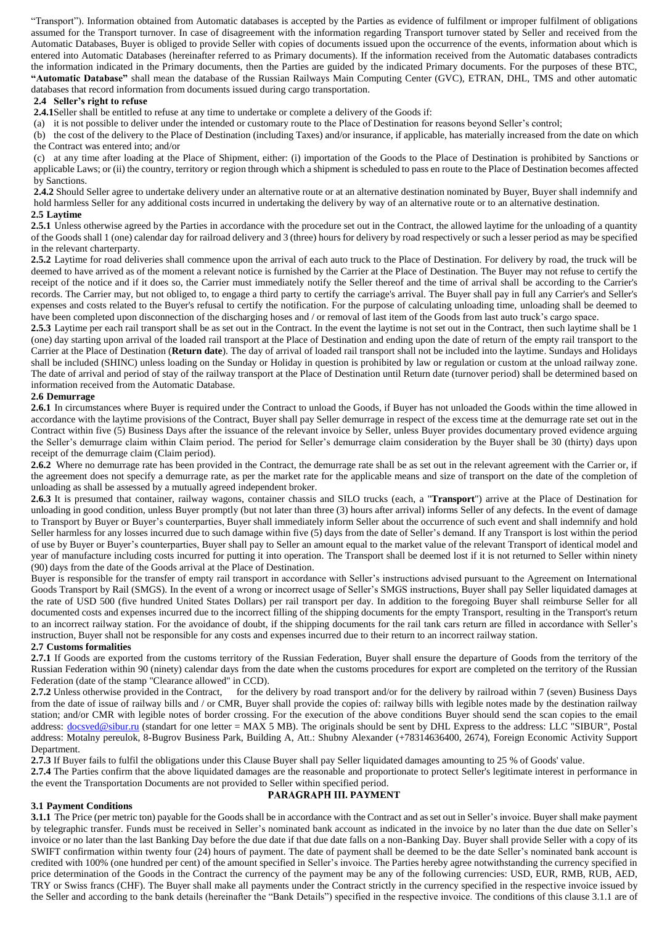"Transport"). Information obtained from Automatic databases is accepted by the Parties as evidence of fulfilment or improper fulfilment of obligations assumed for the Transport turnover. In case of disagreement with the information regarding Transport turnover stated by Seller and received from the Automatic Databases, Buyer is obliged to provide Seller with copies of documents issued upon the occurrence of the events, information about which is entered into Automatic Databases (hereinafter referred to as Primary documents). If the information received from the Automatic databases contradicts the information indicated in the Primary documents, then the Parties are guided by the indicated Primary documents. For the purposes of these BTC, **"Automatic Database"** shall mean the database of the Russian Railways Main Computing Center (GVC), ETRAN, DHL, TMS and other automatic databases that record information from documents issued during cargo transportation.

## **2.4 Seller's right to refuse**

**2.4.1**Seller shall be entitled to refuse at any time to undertake or complete a delivery of the Goods if:

(a) it is not possible to deliver under the intended or customary route to the Place of Destination for reasons beyond Seller's control;

(b) the cost of the delivery to the Place of Destination (including Taxes) and/or insurance, if applicable, has materially increased from the date on which the Contract was entered into; and/or

(c) at any time after loading at the Place of Shipment, either: (i) importation of the Goods to the Place of Destination is prohibited by Sanctions or applicable Laws; or (ii) the country, territory or region through which a shipment is scheduled to pass en route to the Place of Destination becomes affected by Sanctions.

**2.4.2** Should Seller agree to undertake delivery under an alternative route or at an alternative destination nominated by Buyer, Buyer shall indemnify and hold harmless Seller for any additional costs incurred in undertaking the delivery by way of an alternative route or to an alternative destination. **2.5 Laytime**

**2.5.1** Unless otherwise agreed by the Parties in accordance with the procedure set out in the Contract, the allowed laytime for the unloading of a quantity of the Goods shall 1 (one) calendar day for railroad delivery and 3 (three) hours for delivery by road respectively or such a lesser period as may be specified in the relevant charterparty.

**2.5.2** Laytime for road deliveries shall commence upon the arrival of each auto truck to the Place of Destination. For delivery by road, the truck will be deemed to have arrived as of the moment a relevant notice is furnished by the Carrier at the Place of Destination. The Buyer may not refuse to certify the receipt of the notice and if it does so, the Carrier must immediately notify the Seller thereof and the time of arrival shall be according to the Carrier's records. The Carrier may, but not obliged to, to engage a third party to certify the carriage's arrival. The Buyer shall pay in full any Carrier's and Seller's expenses and costs related to the Buyer's refusal to certify the notification. For the purpose of calculating unloading time, unloading shall be deemed to have been completed upon disconnection of the discharging hoses and / or removal of last item of the Goods from last auto truck's cargo space.

**2.5.3** Laytime per each rail transport shall be as set out in the Contract. In the event the laytime is not set out in the Contract, then such laytime shall be 1 (one) day starting upon arrival of the loaded rail transport at the Place of Destination and ending upon the date of return of the empty rail transport to the Carrier at the Place of Destination (**Return date**). The day of arrival of loaded rail transport shall not be included into the laytime. Sundays and Holidays shall be included (SHINC) unless loading on the Sunday or Holiday in question is prohibited by law or regulation or custom at the unload railway zone. The date of arrival and period of stay of the railway transport at the Place of Destination until Return date (turnover period) shall be determined based on information received from the Automatic Database.

## **2.6 Demurrage**

**2.6.1** In circumstances where Buyer is required under the Contract to unload the Goods, if Buyer has not unloaded the Goods within the time allowed in accordance with the laytime provisions of the Contract, Buyer shall pay Seller demurrage in respect of the excess time at the demurrage rate set out in the Contract within five (5) Business Days after the issuance of the relevant invoice by Seller, unless Buyer provides documentary proved evidence arguing the Seller's demurrage claim within Claim period. The period for Seller's demurrage claim consideration by the Buyer shall be 30 (thirty) days upon receipt of the demurrage claim (Claim period).

**2.6.2** Where no demurrage rate has been provided in the Contract, the demurrage rate shall be as set out in the relevant agreement with the Carrier or, if the agreement does not specify a demurrage rate, as per the market rate for the applicable means and size of transport on the date of the completion of unloading as shall be assessed by a mutually agreed independent broker.

**2.6.3** It is presumed that container, railway wagons, container chassis and SILO trucks (each, a "**Transport**") arrive at the Place of Destination for unloading in good condition, unless Buyer promptly (but not later than three (3) hours after arrival) informs Seller of any defects. In the event of damage to Transport by Buyer or Buyer's counterparties, Buyer shall immediately inform Seller about the occurrence of such event and shall indemnify and hold Seller harmless for any losses incurred due to such damage within five (5) days from the date of Seller's demand. If any Transport is lost within the period of use by Buyer or Buyer's counterparties, Buyer shall pay to Seller an amount equal to the market value of the relevant Transport of identical model and year of manufacture including costs incurred for putting it into operation. The Transport shall be deemed lost if it is not returned to Seller within ninety (90) days from the date of the Goods arrival at the Place of Destination.

Buyer is responsible for the transfer of empty rail transport in accordance with Seller's instructions advised pursuant to the Agreement on International Goods Transport by Rail (SMGS). In the event of a wrong or incorrect usage of Seller's SMGS instructions, Buyer shall pay Seller liquidated damages at the rate of USD 500 (five hundred United States Dollars) per rail transport per day. In addition to the foregoing Buyer shall reimburse Seller for all documented costs and expenses incurred due to the incorrect filling of the shipping documents for the empty Transport, resulting in the Transport's return to an incorrect railway station. For the avoidance of doubt, if the shipping documents for the rail tank cars return are filled in accordance with Seller's instruction, Buyer shall not be responsible for any costs and expenses incurred due to their return to an incorrect railway station.

## **2.7 Customs formalities**

**2.7.1** If Goods are exported from the customs territory of the Russian Federation, Buyer shall ensure the departure of Goods from the territory of the Russian Federation within 90 (ninety) calendar days from the date when the customs procedures for export are completed on the territory of the Russian Federation (date of the stamp "Clearance allowed" in CCD).

**2.7.2** Unless otherwise provided in the Contract, for the delivery by road transport and/or for the delivery by railroad within 7 (seven) Business Days from the date of issue of railway bills and / or CMR, Buyer shall provide the copies of: railway bills with legible notes made by the destination railway station; and/or CMR with legible notes of border crossing. For the execution of the above conditions Buyer should send the scan copies to the email address: [docsved@sibur.ru](mailto:docsved@sibur.ru) (standart for one letter = MAX 5 MB). The originals should be sent by DHL Express to the address: LLC "SIBUR", Postal address: Motalny pereulok, 8-Bugrov Business Park, Building A, Att.: Shubny Alexander (+78314636400, 2674), Foreign Economic Activity Support Department.

**2.7.3** If Buyer fails to fulfil the obligations under this Clause Buyer shall pay Seller liquidated damages amounting to 25 % of Goods' value.

**2.7.4** The Parties confirm that the above liquidated damages are the reasonable and proportionate to protect Seller's legitimate interest in performance in the event the Transportation Documents are not provided to Seller within specified period.

## **3.1 Payment Conditions**

# PARAGRAPH III. PAYMENT

**3.1.1** The Price (per metric ton) payable for the Goods shall be in accordance with the Contract and as set out in Seller's invoice. Buyer shall make payment by telegraphic transfer. Funds must be received in Seller's nominated bank account as indicated in the invoice by no later than the due date on Seller's invoice or no later than the last Banking Day before the due date if that due date falls on a non-Banking Day. Buyer shall provide Seller with a copy of its SWIFT confirmation within twenty four (24) hours of payment. The date of payment shall be deemed to be the date Seller's nominated bank account is credited with 100% (one hundred per cent) of the amount specified in Seller's invoice. The Parties hereby agree notwithstanding the currency specified in price determination of the Goods in the Contract the currency of the payment may be any of the following currencies: USD, EUR, RMB, RUB, AED, TRY or Swiss francs (CHF). The Buyer shall make all payments under the Contract strictly in the currency specified in the respective invoice issued by the Seller and according to the bank details (hereinafter the "Bank Details") specified in the respective invoice. The conditions of this clause 3.1.1 are of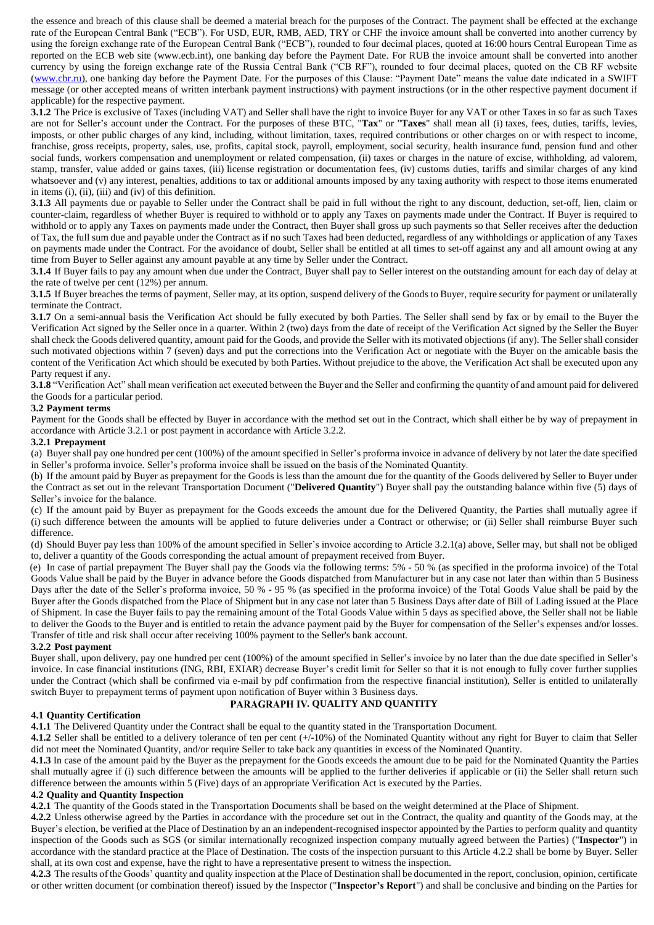the essence and breach of this clause shall be deemed a material breach for the purposes of the Contract. The payment shall be effected at the exchange rate of the European Central Bank ("ECB"). For USD, EUR, RMB, AED, TRY or CHF the invoice amount shall be converted into another currency by using the foreign exchange rate of the European Central Bank ("ECB"), rounded to four decimal places, quoted at 16:00 hours Central European Time as reported on the ECB web site (www.ecb.int), one banking day before the Payment Date. For RUB the invoice amount shall be converted into another currency by using the foreign exchange rate of the Russia Central Bank ("CB RF"), rounded to four decimal places, quoted on the CB RF website [\(www.cbr.ru\)](http://www.cbr.ru/), one banking day before the Payment Date. For the purposes of this Clause: "Payment Date" means the value date indicated in a SWIFT message (or other accepted means of written interbank payment instructions) with payment instructions (or in the other respective payment document if applicable) for the respective payment.

**3.1.2** The Price is exclusive of Taxes (including VAT) and Seller shall have the right to invoice Buyer for any VAT or other Taxes in so far as such Taxes are not for Seller's account under the Contract. For the purposes of these BTC, "**Tax**" or "**Taxes**" shall mean all (i) taxes, fees, duties, tariffs, levies, imposts, or other public charges of any kind, including, without limitation, taxes, required contributions or other charges on or with respect to income, franchise, gross receipts, property, sales, use, profits, capital stock, payroll, employment, social security, health insurance fund, pension fund and other social funds, workers compensation and unemployment or related compensation, (ii) taxes or charges in the nature of excise, withholding, ad valorem, stamp, transfer, value added or gains taxes, (iii) license registration or documentation fees, (iv) customs duties, tariffs and similar charges of any kind whatsoever and (v) any interest, penalties, additions to tax or additional amounts imposed by any taxing authority with respect to those items enumerated in items (i), (ii), (iii) and (iv) of this definition.

**3.1.3** All payments due or payable to Seller under the Contract shall be paid in full without the right to any discount, deduction, set-off, lien, claim or counter-claim, regardless of whether Buyer is required to withhold or to apply any Taxes on payments made under the Contract. If Buyer is required to withhold or to apply any Taxes on payments made under the Contract, then Buyer shall gross up such payments so that Seller receives after the deduction of Tax, the full sum due and payable under the Contract as if no such Taxes had been deducted, regardless of any withholdings or application of any Taxes on payments made under the Contract. For the avoidance of doubt, Seller shall be entitled at all times to set-off against any and all amount owing at any time from Buyer to Seller against any amount payable at any time by Seller under the Contract.

**3.1.4** If Buyer fails to pay any amount when due under the Contract, Buyer shall pay to Seller interest on the outstanding amount for each day of delay at the rate of twelve per cent (12%) per annum.

**3.1.5** If Buyer breaches the terms of payment, Seller may, at its option, suspend delivery of the Goods to Buyer, require security for payment or unilaterally terminate the Contract.

**3.1.7** On a semi-annual basis the Verification Act should be fully executed by both Parties. The Seller shall send by fax or by email to the Buyer the Verification Act signed by the Seller once in a quarter. Within 2 (two) days from the date of receipt of the Verification Act signed by the Seller the Buyer shall check the Goods delivered quantity, amount paid for the Goods, and provide the Seller with its motivated objections (if any). The Seller shall consider such motivated objections within 7 (seven) days and put the corrections into the Verification Act or negotiate with the Buyer on the amicable basis the content of the Verification Act which should be executed by both Parties. Without prejudice to the above, the Verification Act shall be executed upon any Party request if any.

**3.1.8** "Verification Act" shall mean verification act executed between the Buyer and the Seller and confirming the quantity of and amount paid for delivered the Goods for a particular period.

### <span id="page-2-0"></span>**3.2 Payment terms**

Payment for the Goods shall be effected by Buyer in accordance with the method set out in the Contract, which shall either be by way of prepayment in accordance with Article [3.2.1](#page-2-2) or post payment in accordance with Articl[e 3.2.2.](#page-2-3)

### <span id="page-2-2"></span>**3.2.1 Prepayment**

(a) Buyer shall pay one hundred per cent (100%) of the amount specified in Seller's proforma invoice in advance of delivery by not later the date specified in Seller's proforma invoice. Seller's proforma invoice shall be issued on the basis of the Nominated Quantity.

(b) If the amount paid by Buyer as prepayment for the Goods is less than the amount due for the quantity of the Goods delivered by Seller to Buyer under the Contract as set out in the relevant Transportation Document ("**Delivered Quantity**") Buyer shall pay the outstanding balance within five (5) days of Seller's invoice for the balance.

(c) If the amount paid by Buyer as prepayment for the Goods exceeds the amount due for the Delivered Quantity, the Parties shall mutually agree if (i) such difference between the amounts will be applied to future deliveries under a Contract or otherwise; or (ii) Seller shall reimburse Buyer such difference.

(d) Should Buyer pay less than 100% of the amount specified in Seller's invoice according to Article 3.2.1(a) above, Seller may, but shall not be obliged to, deliver a quantity of the Goods corresponding the actual amount of prepayment received from Buyer.

(e) In case of partial prepayment The Buyer shall pay the Goods via the following terms: 5% - 50 % (as specified in the proforma invoice) of the Total Goods Value shall be paid by the Buyer in advance before the Goods dispatched from Manufacturer but in any case not later than within than 5 Business Days after the date of the Seller's proforma invoice, 50 % - 95 % (as specified in the proforma invoice) of the Total Goods Value shall be paid by the Buyer after the Goods dispatched from the Place of Shipment but in any case not later than 5 Business Days after date of Bill of Lading issued at the Place of Shipment. In case the Buyer fails to pay the remaining amount of the Total Goods Value within 5 days as specified above, the Seller shall not be liable to deliver the Goods to the Buyer and is entitled to retain the advance payment paid by the Buyer for compensation of the Seller's expenses and/or losses. Transfer of title and risk shall occur after receiving 100% payment to the Seller's bank account.

### <span id="page-2-3"></span>**3.2.2 Post payment**

Buyer shall, upon delivery, pay one hundred per cent (100%) of the amount specified in Seller's invoice by no later than the due date specified in Seller's invoice. In case financial institutions (ING, RBI, EXIAR) decrease Buyer's credit limit for Seller so that it is not enough to fully cover further supplies under the Contract (which shall be confirmed via e-mail by pdf confirmation from the respective financial institution), Seller is entitled to unilaterally switch Buyer to prepayment terms of payment upon notification of Buyer within 3 Business days.

# PARAGRAPH IV. QUALITY AND QUANTITY

### **4.1 Quantity Certification**

**4.1.1** The Delivered Quantity under the Contract shall be equal to the quantity stated in the Transportation Document.

<span id="page-2-1"></span>**4.1.2** Seller shall be entitled to a delivery tolerance of ten per cent (+/-10%) of the Nominated Quantity without any right for Buyer to claim that Seller did not meet the Nominated Quantity, and/or require Seller to take back any quantities in excess of the Nominated Quantity.

**4.1.3** In case of the amount paid by the Buyer as the prepayment for the Goods exceeds the amount due to be paid for the Nominated Quantity the Parties shall mutually agree if (i) such difference between the amounts will be applied to the further deliveries if applicable or (ii) the Seller shall return such difference between the amounts within 5 (Five) days of an appropriate Verification Act is executed by the Parties.

### **4.2 Quality and Quantity Inspection**

**4.2.1** The quantity of the Goods stated in the Transportation Documents shall be based on the weight determined at the Place of Shipment.

<span id="page-2-4"></span>**4.2.2** Unless otherwise agreed by the Parties in accordance with the procedure set out in the Contract, the quality and quantity of the Goods may, at the Buyer's election, be verified at the Place of Destination by an an independent-recognised inspector appointed by the Parties to perform quality and quantity inspection of the Goods such as SGS (or similar internationally recognized inspection company mutually agreed between the Parties) ("**Inspector**") in accordance with the standard practice at the Place of Destination. The costs of the inspection pursuant to this Article [4.2.2](#page-2-4) shall be borne by Buyer. Seller shall, at its own cost and expense, have the right to have a representative present to witness the inspection.

**4.2.3** The results of the Goods' quantity and quality inspection at the Place of Destination shall be documented in the report, conclusion, opinion, certificate or other written document (or combination thereof) issued by the Inspector ("**Inspector's Report**") and shall be conclusive and binding on the Parties for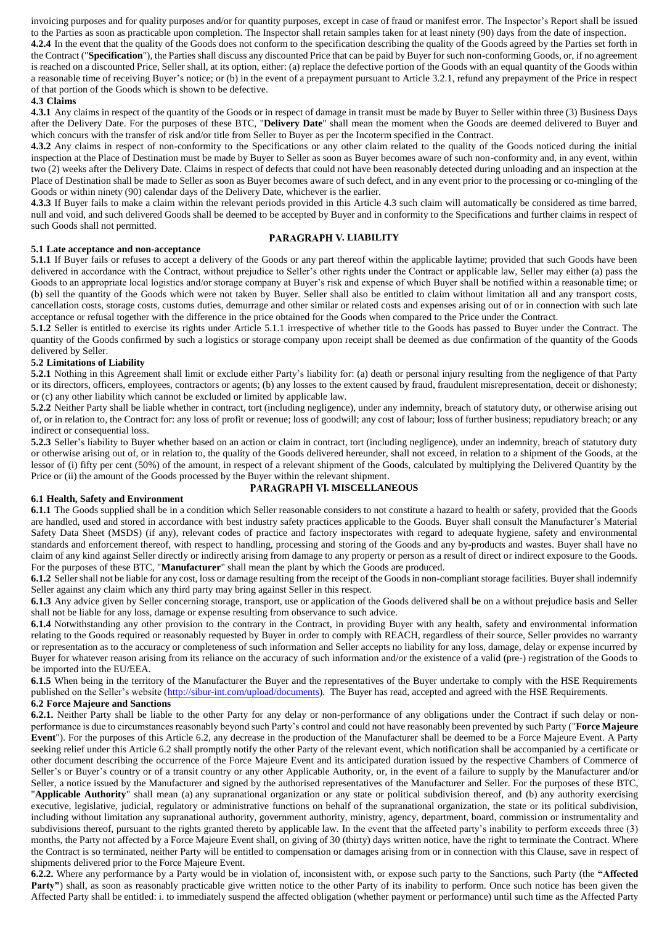invoicing purposes and for quality purposes and/or for quantity purposes, except in case of fraud or manifest error. The Inspector's Report shall be issued to the Parties as soon as practicable upon completion. The Inspector shall retain samples taken for at least ninety (90) days from the date of inspection.

**4.2.4** In the event that the quality of the Goods does not conform to the specification describing the quality of the Goods agreed by the Parties set forth in the Contract ("**Specification**"), the Parties shall discuss any discounted Price that can be paid by Buyer for such non-conforming Goods, or, if no agreement is reached on a discounted Price, Seller shall, at its option, either: (a) replace the defective portion of the Goods with an equal quantity of the Goods within a reasonable time of receiving Buyer's notice; or (b) in the event of a prepayment pursuant to Articl[e 3.2.1,](#page-2-2) refund any prepayment of the Price in respect of that portion of the Goods which is shown to be defective.

## <span id="page-3-0"></span>**4.3 Claims**

**4.3.1** Any claims in respect of the quantity of the Goods or in respect of damage in transit must be made by Buyer to Seller within three (3) Business Days after the Delivery Date. For the purposes of these BTC, "**Delivery Date**" shall mean the moment when the Goods are deemed delivered to Buyer and which concurs with the transfer of risk and/or title from Seller to Buyer as per the Incoterm specified in the Contract.

**4.3.2** Any claims in respect of non-conformity to the Specifications or any other claim related to the quality of the Goods noticed during the initial inspection at the Place of Destination must be made by Buyer to Seller as soon as Buyer becomes aware of such non-conformity and, in any event, within two (2) weeks after the Delivery Date. Claims in respect of defects that could not have been reasonably detected during unloading and an inspection at the Place of Destination shall be made to Seller as soon as Buyer becomes aware of such defect, and in any event prior to the processing or co-mingling of the Goods or within ninety (90) calendar days of the Delivery Date, whichever is the earlier.

**4.3.3** If Buyer fails to make a claim within the relevant periods provided in this Article [4.3](#page-3-0) such claim will automatically be considered as time barred, null and void, and such delivered Goods shall be deemed to be accepted by Buyer and in conformity to the Specifications and further claims in respect of such Goods shall not permitted.

### **5.1 Late acceptance and non-acceptance**

### **PARAGRAPH V. LIABILITY**

<span id="page-3-1"></span>**5.1.1** If Buyer fails or refuses to accept a delivery of the Goods or any part thereof within the applicable laytime; provided that such Goods have been delivered in accordance with the Contract, without prejudice to Seller's other rights under the Contract or applicable law, Seller may either (a) pass the Goods to an appropriate local logistics and/or storage company at Buyer's risk and expense of which Buyer shall be notified within a reasonable time; or (b) sell the quantity of the Goods which were not taken by Buyer. Seller shall also be entitled to claim without limitation all and any transport costs, cancellation costs, storage costs, customs duties, demurrage and other similar or related costs and expenses arising out of or in connection with such late acceptance or refusal together with the difference in the price obtained for the Goods when compared to the Price under the Contract.

**5.1.2** Seller is entitled to exercise its rights under Article [5.1.1](#page-3-1) irrespective of whether title to the Goods has passed to Buyer under the Contract. The quantity of the Goods confirmed by such a logistics or storage company upon receipt shall be deemed as due confirmation of the quantity of the Goods delivered by Seller.

### **5.2 Limitations of Liability**

**5.2.1** Nothing in this Agreement shall limit or exclude either Party's liability for: (a) death or personal injury resulting from the negligence of that Party or its directors, officers, employees, contractors or agents; (b) any losses to the extent caused by fraud, fraudulent misrepresentation, deceit or dishonesty; or (c) any other liability which cannot be excluded or limited by applicable law.

**5.2.2** Neither Party shall be liable whether in contract, tort (including negligence), under any indemnity, breach of statutory duty, or otherwise arising out of, or in relation to, the Contract for: any loss of profit or revenue; loss of goodwill; any cost of labour; loss of further business; repudiatory breach; or any indirect or consequential loss.

**5.2.3** Seller's liability to Buyer whether based on an action or claim in contract, tort (including negligence), under an indemnity, breach of statutory duty or otherwise arising out of, or in relation to, the quality of the Goods delivered hereunder, shall not exceed, in relation to a shipment of the Goods, at the lessor of (i) fifty per cent (50%) of the amount, in respect of a relevant shipment of the Goods, calculated by multiplying the Delivered Quantity by the Price or (ii) the amount of the Goods processed by the Buyer within the relevant shipment.

#### **6.1 Health, Safety and Environment**

### **PARAGRAPH VI. MISCELLANEOUS**

**6.1.1** The Goods supplied shall be in a condition which Seller reasonable considers to not constitute a hazard to health or safety, provided that the Goods are handled, used and stored in accordance with best industry safety practices applicable to the Goods. Buyer shall consult the Manufacturer's Material Safety Data Sheet (MSDS) (if any), relevant codes of practice and factory inspectorates with regard to adequate hygiene, safety and environmental standards and enforcement thereof, with respect to handling, processing and storing of the Goods and any by-products and wastes. Buyer shall have no claim of any kind against Seller directly or indirectly arising from damage to any property or person as a result of direct or indirect exposure to the Goods. For the purposes of these BTC, "**Manufacturer**" shall mean the plant by which the Goods are produced.

**6.1.2** Seller shall not be liable for any cost, loss or damage resulting from the receipt of the Goods in non-compliant storage facilities. Buyer shall indemnify Seller against any claim which any third party may bring against Seller in this respect.

**6.1.3** Any advice given by Seller concerning storage, transport, use or application of the Goods delivered shall be on a without prejudice basis and Seller shall not be liable for any loss, damage or expense resulting from observance to such advice.

**6.1.4** Notwithstanding any other provision to the contrary in the Contract, in providing Buyer with any health, safety and environmental information relating to the Goods required or reasonably requested by Buyer in order to comply with REACH, regardless of their source, Seller provides no warranty or representation as to the accuracy or completeness of such information and Seller accepts no liability for any loss, damage, delay or expense incurred by Buyer for whatever reason arising from its reliance on the accuracy of such information and/or the existence of a valid (pre-) registration of the Goods to be imported into the EU/EEA.

**6.1.5** When being in the territory of the Manufacturer the Buyer and the representatives of the Buyer undertake to comply with the HSE Requirements published on the Seller's website [\(http://sibur-int.com/upload/documents\)](http://sibur-int.com/upload/documents). The Buyer has read, accepted and agreed with the HSE Requirements.

### **6.2 Force Majeure and Sanctions**

**6.2.1.** Neither Party shall be liable to the other Party for any delay or non-performance of any obligations under the Contract if such delay or nonperformance is due to circumstances reasonably beyond such Party's control and could not have reasonably been prevented by such Party ("**Force Majeure Event**"). For the purposes of this Article 6.2, any decrease in the production of the Manufacturer shall be deemed to be a Force Majeure Event. A Party seeking relief under this Article 6.2 shall promptly notify the other Party of the relevant event, which notification shall be accompanied by a certificate or other document describing the occurrence of the Force Majeure Event and its anticipated duration issued by the respective Chambers of Commerce of Seller's or Buyer's country or of a transit country or any other Applicable Authority, or, in the event of a failure to supply by the Manufacturer and/or Seller, a notice issued by the Manufacturer and signed by the authorised representatives of the Manufacturer and Seller. For the purposes of these BTC, "**Applicable Authority**" shall mean (a) any supranational organization or any state or political subdivision thereof, and (b) any authority exercising executive, legislative, judicial, regulatory or administrative functions on behalf of the supranational organization, the state or its political subdivision, including without limitation any supranational authority, government authority, ministry, agency, department, board, commission or instrumentality and subdivisions thereof, pursuant to the rights granted thereto by applicable law. In the event that the affected party's inability to perform exceeds three (3) months, the Party not affected by a Force Majeure Event shall, on giving of 30 (thirty) days written notice, have the right to terminate the Contract. Where the Contract is so terminated, neither Party will be entitled to compensation or damages arising from or in connection with this Clause, save in respect of shipments delivered prior to the Force Majeure Event.

**6.2.2.** Where any performance by a Party would be in violation of, inconsistent with, or expose such party to the Sanctions, such Party (the **"Affected**  Party") shall, as soon as reasonably practicable give written notice to the other Party of its inability to perform. Once such notice has been given the Affected Party shall be entitled: i. to immediately suspend the affected obligation (whether payment or performance) until such time as the Affected Party